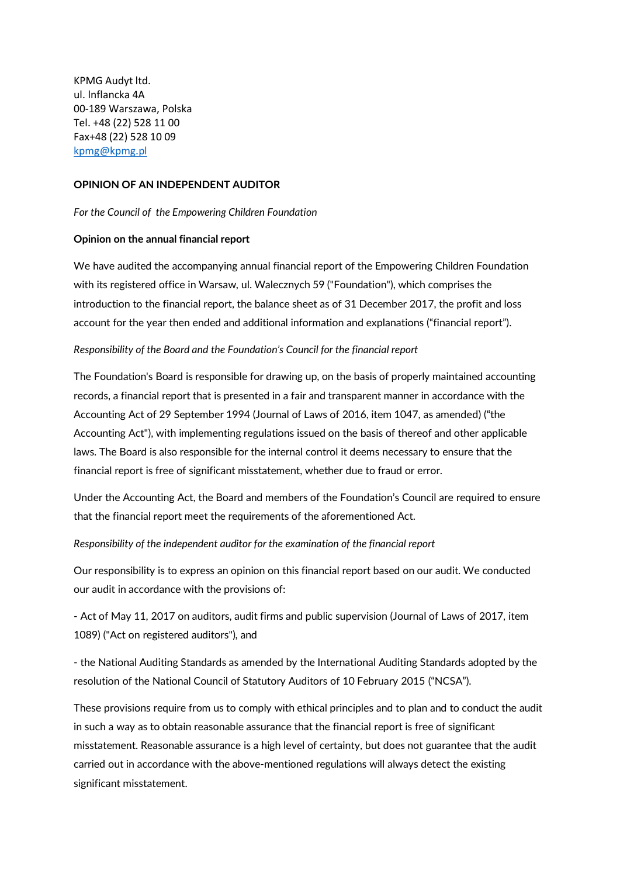KPMG Audyt ltd. ul. lnflancka 4A 00-189 Warszawa, Polska Tel. +48 (22) 528 11 00 Fax+48 (22) 528 10 09 [kpmg@kpmg.pl](mailto:kpmg@kpmg.pl)

## **OPINION OF AN INDEPENDENT AUDITOR**

*For the Council of the Empowering Children Foundation* 

### **Opinion on the annual financial report**

We have audited the accompanying annual financial report of the Empowering Children Foundation with its registered office in Warsaw, ul. Walecznych 59 ("Foundation"), which comprises the introduction to the financial report, the balance sheet as of 31 December 2017, the profit and loss account for the year then ended and additional information and explanations ("financial report").

### *Responsibility of the Board and the Foundation's Council for the financial report*

The Foundation's Board is responsible for drawing up, on the basis of properly maintained accounting records, a financial report that is presented in a fair and transparent manner in accordance with the Accounting Act of 29 September 1994 (Journal of Laws of 2016, item 1047, as amended) ("the Accounting Act"), with implementing regulations issued on the basis of thereof and other applicable laws. The Board is also responsible for the internal control it deems necessary to ensure that the financial report is free of significant misstatement, whether due to fraud or error.

Under the Accounting Act, the Board and members of the Foundation's Council are required to ensure that the financial report meet the requirements of the aforementioned Act.

# *Responsibility of the independent auditor for the examination of the financial report*

Our responsibility is to express an opinion on this financial report based on our audit. We conducted our audit in accordance with the provisions of:

- Act of May 11, 2017 on auditors, audit firms and public supervision (Journal of Laws of 2017, item 1089) ("Act on registered auditors"), and

- the National Auditing Standards as amended by the International Auditing Standards adopted by the resolution of the National Council of Statutory Auditors of 10 February 2015 ("NCSA").

These provisions require from us to comply with ethical principles and to plan and to conduct the audit in such a way as to obtain reasonable assurance that the financial report is free of significant misstatement. Reasonable assurance is a high level of certainty, but does not guarantee that the audit carried out in accordance with the above-mentioned regulations will always detect the existing significant misstatement.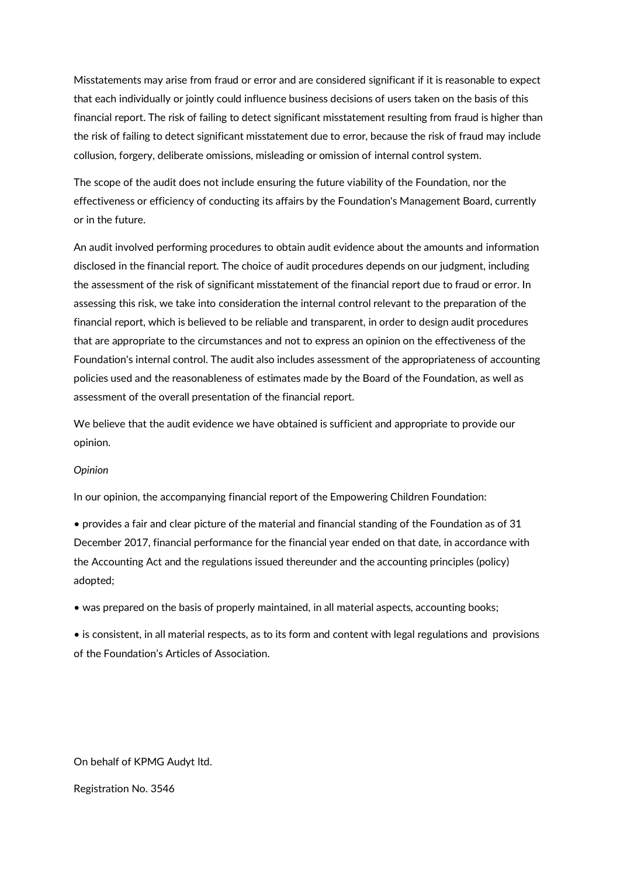Misstatements may arise from fraud or error and are considered significant if it is reasonable to expect that each individually or jointly could influence business decisions of users taken on the basis of this financial report. The risk of failing to detect significant misstatement resulting from fraud is higher than the risk of failing to detect significant misstatement due to error, because the risk of fraud may include collusion, forgery, deliberate omissions, misleading or omission of internal control system.

The scope of the audit does not include ensuring the future viability of the Foundation, nor the effectiveness or efficiency of conducting its affairs by the Foundation's Management Board, currently or in the future.

An audit involved performing procedures to obtain audit evidence about the amounts and information disclosed in the financial report. The choice of audit procedures depends on our judgment, including the assessment of the risk of significant misstatement of the financial report due to fraud or error. In assessing this risk, we take into consideration the internal control relevant to the preparation of the financial report, which is believed to be reliable and transparent, in order to design audit procedures that are appropriate to the circumstances and not to express an opinion on the effectiveness of the Foundation's internal control. The audit also includes assessment of the appropriateness of accounting policies used and the reasonableness of estimates made by the Board of the Foundation, as well as assessment of the overall presentation of the financial report.

We believe that the audit evidence we have obtained is sufficient and appropriate to provide our opinion.

#### *Opinion*

In our opinion, the accompanying financial report of the Empowering Children Foundation:

• provides a fair and clear picture of the material and financial standing of the Foundation as of 31 December 2017, financial performance for the financial year ended on that date, in accordance with the Accounting Act and the regulations issued thereunder and the accounting principles (policy) adopted;

• was prepared on the basis of properly maintained, in all material aspects, accounting books;

• is consistent, in all material respects, as to its form and content with legal regulations and provisions of the Foundation's Articles of Association.

On behalf of KPMG Audyt ltd.

Registration No. 3546